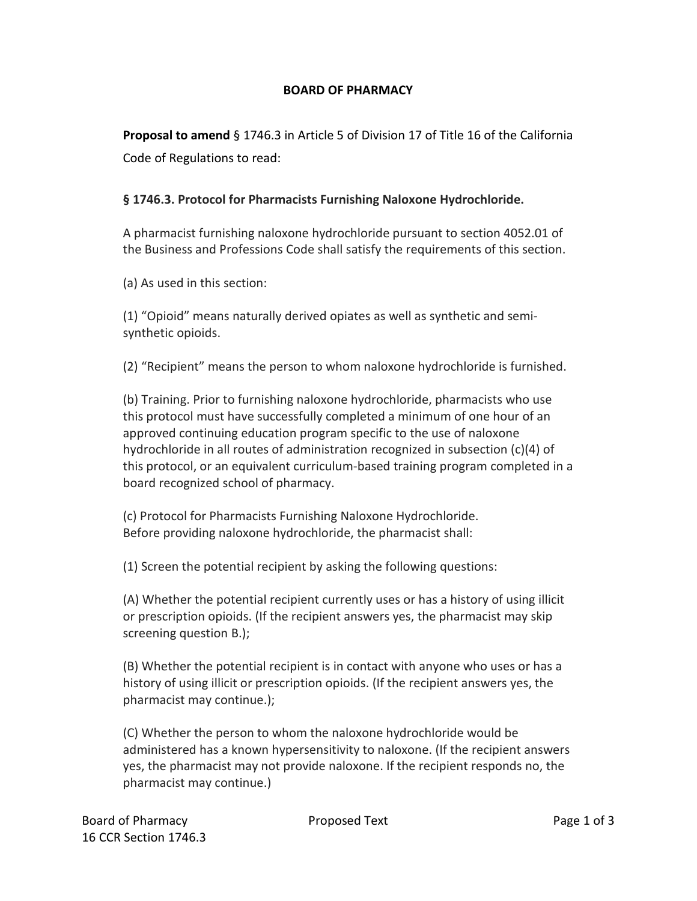## **BOARD OF PHARMACY**

**Proposal to amend** § 1746.3 in Article 5 of Division 17 of Title 16 of the California Code of Regulations to read:

## **§ 1746.3. Protocol for Pharmacists Furnishing Naloxone Hydrochloride.**

A pharmacist furnishing naloxone hydrochloride pursuant to section 4052.01 of the Business and Professions Code shall satisfy the requirements of this section.

(a) As used in this section:

(1) "Opioid" means naturally derived opiates as well as synthetic and semisynthetic opioids.

(2) "Recipient" means the person to whom naloxone hydrochloride is furnished.

(b) Training. Prior to furnishing naloxone hydrochloride, pharmacists who use this protocol must have successfully completed a minimum of one hour of an approved continuing education program specific to the use of naloxone hydrochloride in all routes of administration recognized in subsection (c)(4) of this protocol, or an equivalent curriculum-based training program completed in a board recognized school of pharmacy.

(c) Protocol for Pharmacists Furnishing Naloxone Hydrochloride. Before providing naloxone hydrochloride, the pharmacist shall:

(1) Screen the potential recipient by asking the following questions:

(A) Whether the potential recipient currently uses or has a history of using illicit or prescription opioids. (If the recipient answers yes, the pharmacist may skip screening question B.);

(B) Whether the potential recipient is in contact with anyone who uses or has a history of using illicit or prescription opioids. (If the recipient answers yes, the pharmacist may continue.);

(C) Whether the person to whom the naloxone hydrochloride would be administered has a known hypersensitivity to naloxone. (If the recipient answers yes, the pharmacist may not provide naloxone. If the recipient responds no, the pharmacist may continue.)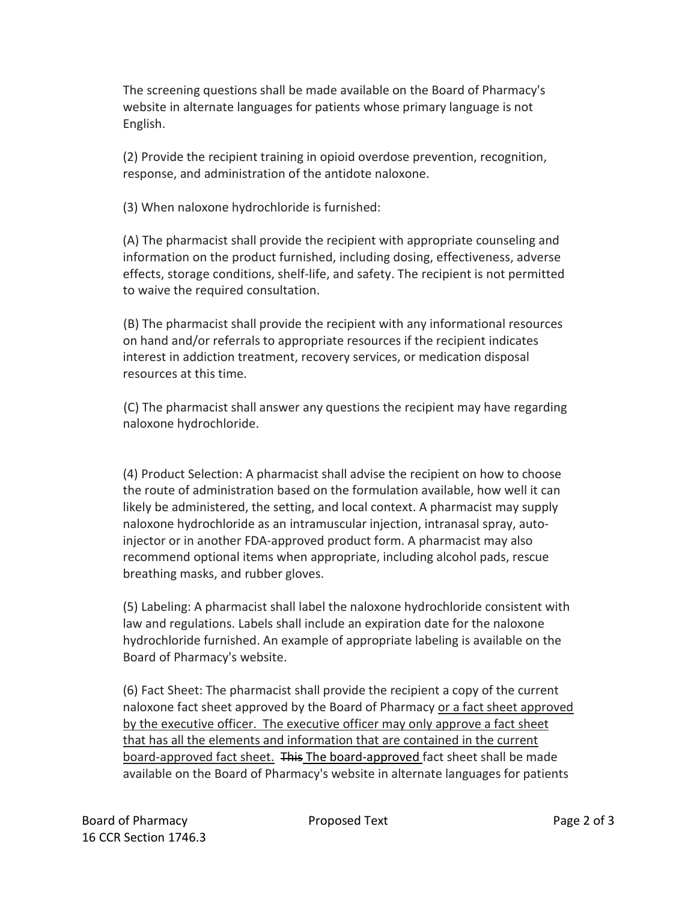The screening questions shall be made available on the Board of Pharmacy's website in alternate languages for patients whose primary language is not English.

(2) Provide the recipient training in opioid overdose prevention, recognition, response, and administration of the antidote naloxone.

(3) When naloxone hydrochloride is furnished:

(A) The pharmacist shall provide the recipient with appropriate counseling and information on the product furnished, including dosing, effectiveness, adverse effects, storage conditions, shelf-life, and safety. The recipient is not permitted to waive the required consultation.

(B) The pharmacist shall provide the recipient with any informational resources on hand and/or referrals to appropriate resources if the recipient indicates interest in addiction treatment, recovery services, or medication disposal resources at this time.

(C) The pharmacist shall answer any questions the recipient may have regarding naloxone hydrochloride.

(4) Product Selection: A pharmacist shall advise the recipient on how to choose the route of administration based on the formulation available, how well it can likely be administered, the setting, and local context. A pharmacist may supply naloxone hydrochloride as an intramuscular injection, intranasal spray, autoinjector or in another FDA-approved product form. A pharmacist may also recommend optional items when appropriate, including alcohol pads, rescue breathing masks, and rubber gloves.

(5) Labeling: A pharmacist shall label the naloxone hydrochloride consistent with law and regulations. Labels shall include an expiration date for the naloxone hydrochloride furnished. An example of appropriate labeling is available on the Board of Pharmacy's website.

(6) Fact Sheet: The pharmacist shall provide the recipient a copy of the current naloxone fact sheet approved by the Board of Pharmacy or a fact sheet approved by the executive officer. The executive officer may only approve a fact sheet that has all the elements and information that are contained in the current board-approved fact sheet. This The board-approved fact sheet shall be made available on the Board of Pharmacy's website in alternate languages for patients